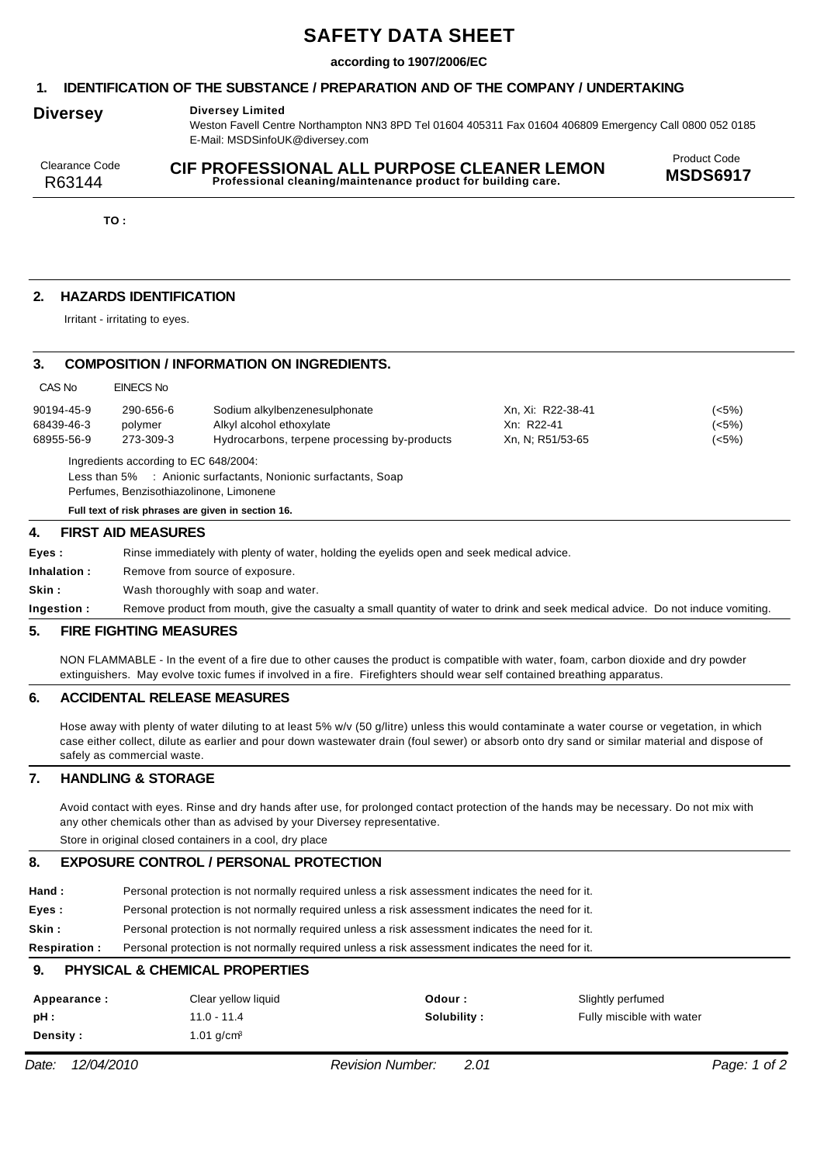# **SAFETY DATA SHEET**

### **according to 1907/2006/EC**

### **1. IDENTIFICATION OF THE SUBSTANCE / PREPARATION AND OF THE COMPANY / UNDERTAKING**

### **Diversey Diversey Limited**

Weston Favell Centre Northampton NN3 8PD Tel 01604 405311 Fax 01604 406809 Emergency Call 0800 052 0185 E-Mail: MSDSinfoUK@diversey.com

| Clearance Code | CIF PROFESSIONAL ALL PURPOSE CLEANER LEMON                   | <b>Product Code</b> |
|----------------|--------------------------------------------------------------|---------------------|
| R63144         | Professional cleaning/maintenance product for building care. | <b>MSDS6917</b>     |

**TO :**

# **2. HAZARDS IDENTIFICATION**

Irritant - irritating to eyes.

### **3. COMPOSITION / INFORMATION ON INGREDIENTS.**

| 4.                    | <b>FIRST AID MEASURES</b>               |                                                                |                   |       |
|-----------------------|-----------------------------------------|----------------------------------------------------------------|-------------------|-------|
|                       |                                         | Full text of risk phrases are given in section 16.             |                   |       |
|                       | Perfumes, Benzisothiazolinone, Limonene | Less than 5% : Anionic surfactants, Nonionic surfactants, Soap |                   |       |
|                       | Ingredients according to EC 648/2004:   |                                                                |                   |       |
| 68955-56-9            | 273-309-3                               | Hydrocarbons, terpene processing by-products                   | Xn, N; R51/53-65  | (<5%) |
| 68439-46-3<br>polymer |                                         | Alkyl alcohol ethoxylate                                       | Xn: R22-41        | (<5%) |
| 90194-45-9            | 290-656-6                               | Sodium alkylbenzenesulphonate                                  | Xn. Xi: R22-38-41 | (<5%) |
| CAS No                | EINECS No                               |                                                                |                   |       |

| Eves :       | Rinse immediately with plenty of water, holding the eyelids open and seek medical advice.                                        |
|--------------|----------------------------------------------------------------------------------------------------------------------------------|
| Inhalation : | Remove from source of exposure.                                                                                                  |
| Skin :       | Wash thoroughly with soap and water.                                                                                             |
| Ingestion :  | Remove product from mouth, give the casualty a small quantity of water to drink and seek medical advice. Do not induce vomiting. |

#### **5. FIRE FIGHTING MEASURES**

NON FLAMMABLE - In the event of a fire due to other causes the product is compatible with water, foam, carbon dioxide and dry powder extinguishers. May evolve toxic fumes if involved in a fire. Firefighters should wear self contained breathing apparatus.

#### **6. ACCIDENTAL RELEASE MEASURES**

Hose away with plenty of water diluting to at least 5% w/v (50 g/litre) unless this would contaminate a water course or vegetation, in which case either collect, dilute as earlier and pour down wastewater drain (foul sewer) or absorb onto dry sand or similar material and dispose of safely as commercial waste.

### **7. HANDLING & STORAGE**

Avoid contact with eyes. Rinse and dry hands after use, for prolonged contact protection of the hands may be necessary. Do not mix with any other chemicals other than as advised by your Diversey representative.

Store in original closed containers in a cool, dry place

## **8. EXPOSURE CONTROL / PERSONAL PROTECTION**

| <b>Respiration:</b> | Personal protection is not normally required unless a risk assessment indicates the need for it. |
|---------------------|--------------------------------------------------------------------------------------------------|
| Skin :              | Personal protection is not normally required unless a risk assessment indicates the need for it. |
| Eves:               | Personal protection is not normally required unless a risk assessment indicates the need for it. |
| Hand :              | Personal protection is not normally required unless a risk assessment indicates the need for it. |

# **9. PHYSICAL & CHEMICAL PROPERTIES**

| Appearance : | Clear yellow liquid | Odour :     | Slightly perfumed         |
|--------------|---------------------|-------------|---------------------------|
| pH :         | 11.0 - 11.4         | Solubility: | Fully miscible with water |
| Density :    | 1.01 a/cm²          |             |                           |